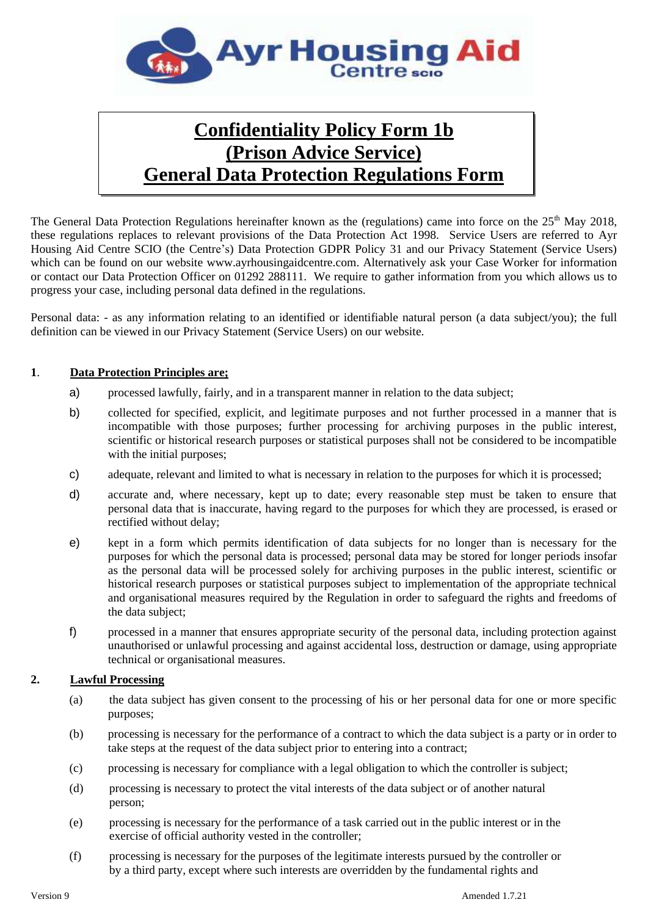

# **Confidentiality Policy Form 1b (Prison Advice Service) General Data Protection Regulations Form**

The General Data Protection Regulations hereinafter known as the (regulations) came into force on the  $25<sup>th</sup>$  May 2018, these regulations replaces to relevant provisions of the Data Protection Act 1998. Service Users are referred to Ayr Housing Aid Centre SCIO (the Centre's) Data Protection GDPR Policy 31 and our Privacy Statement (Service Users) which can be found on our website www.ayrhousingaidcentre.com. Alternatively ask your Case Worker for information or contact our Data Protection Officer on 01292 288111. We require to gather information from you which allows us to progress your case, including personal data defined in the regulations.

Personal data: - as any information relating to an identified or identifiable natural person (a data subject/you); the full definition can be viewed in our Privacy Statement (Service Users) on our website.

## **1**. **Data Protection Principles are;**

- a) processed lawfully, fairly, and in a transparent manner in relation to the data subject;
- b) collected for specified, explicit, and legitimate purposes and not further processed in a manner that is incompatible with those purposes; further processing for archiving purposes in the public interest, scientific or historical research purposes or statistical purposes shall not be considered to be incompatible with the initial purposes;
- c) adequate, relevant and limited to what is necessary in relation to the purposes for which it is processed;
- d) accurate and, where necessary, kept up to date; every reasonable step must be taken to ensure that personal data that is inaccurate, having regard to the purposes for which they are processed, is erased or rectified without delay;
- e) kept in a form which permits identification of data subjects for no longer than is necessary for the purposes for which the personal data is processed; personal data may be stored for longer periods insofar as the personal data will be processed solely for archiving purposes in the public interest, scientific or historical research purposes or statistical purposes subject to implementation of the appropriate technical and organisational measures required by the Regulation in order to safeguard the rights and freedoms of the data subject;
- f) processed in a manner that ensures appropriate security of the personal data, including protection against unauthorised or unlawful processing and against accidental loss, destruction or damage, using appropriate technical or organisational measures.

## **2. Lawful Processing**

- (a) the data subject has given consent to the processing of his or her personal data for one or more specific purposes;
- (b) processing is necessary for the performance of a contract to which the data subject is a party or in order to take steps at the request of the data subject prior to entering into a contract;
- (c) processing is necessary for compliance with a legal obligation to which the controller is subject;
- (d) processing is necessary to protect the vital interests of the data subject or of another natural person;
- (e) processing is necessary for the performance of a task carried out in the public interest or in the exercise of official authority vested in the controller;
- (f) processing is necessary for the purposes of the legitimate interests pursued by the controller or by a third party, except where such interests are overridden by the fundamental rights and